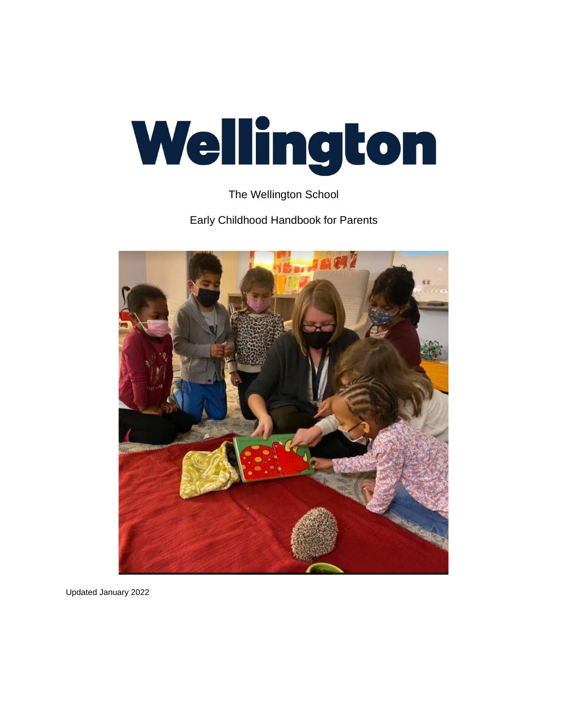# Wellington

The Wellington School

Early Childhood Handbook for Parents



Updated January 2022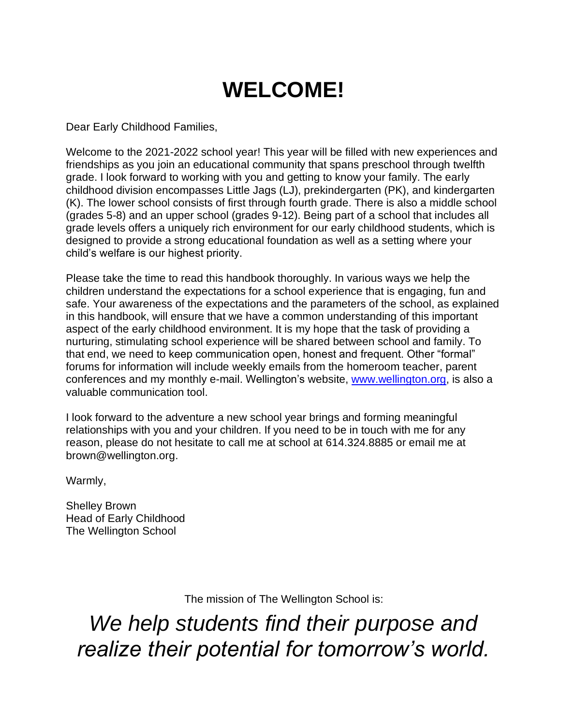# **WELCOME!**

Dear Early Childhood Families,

Welcome to the 2021-2022 school year! This year will be filled with new experiences and friendships as you join an educational community that spans preschool through twelfth grade. I look forward to working with you and getting to know your family. The early childhood division encompasses Little Jags (LJ), prekindergarten (PK), and kindergarten (K). The lower school consists of first through fourth grade. There is also a middle school (grades 5-8) and an upper school (grades 9-12). Being part of a school that includes all grade levels offers a uniquely rich environment for our early childhood students, which is designed to provide a strong educational foundation as well as a setting where your child's welfare is our highest priority.

Please take the time to read this handbook thoroughly. In various ways we help the children understand the expectations for a school experience that is engaging, fun and safe. Your awareness of the expectations and the parameters of the school, as explained in this handbook, will ensure that we have a common understanding of this important aspect of the early childhood environment. It is my hope that the task of providing a nurturing, stimulating school experience will be shared between school and family. To that end, we need to keep communication open, honest and frequent. Other "formal" forums for information will include weekly emails from the homeroom teacher, parent conferences and my monthly e-mail. Wellington's website, [www.wellington.org,](http://www.wellington.org/) is also a valuable communication tool.

I look forward to the adventure a new school year brings and forming meaningful relationships with you and your children. If you need to be in touch with me for any reason, please do not hesitate to call me at school at 614.324.8885 or email me at brown@wellington.org.

Warmly,

Shelley Brown Head of Early Childhood The Wellington School

The mission of The Wellington School is:

*We help students find their purpose and realize their potential for tomorrow's world.*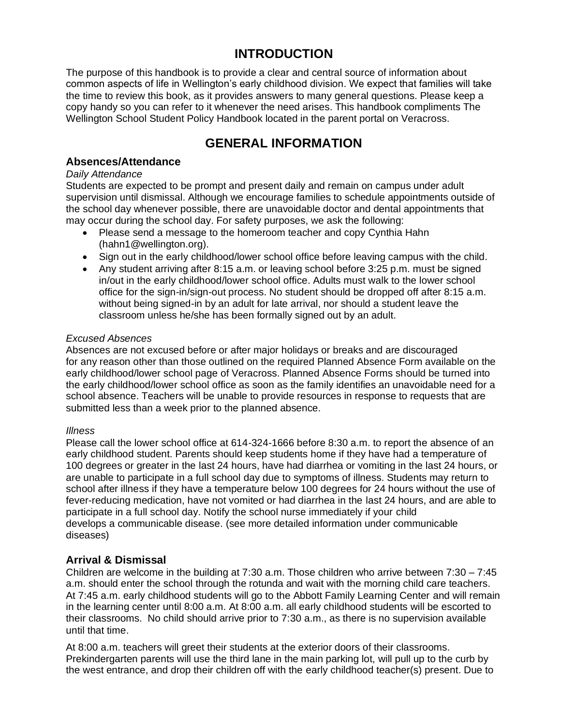# **INTRODUCTION**

The purpose of this handbook is to provide a clear and central source of information about common aspects of life in Wellington's early childhood division. We expect that families will take the time to review this book, as it provides answers to many general questions. Please keep a copy handy so you can refer to it whenever the need arises. This handbook compliments The Wellington School Student Policy Handbook located in the parent portal on Veracross.

# **GENERAL INFORMATION**

# **Absences/Attendance**

# *Daily Attendance*

Students are expected to be prompt and present daily and remain on campus under adult supervision until dismissal. Although we encourage families to schedule appointments outside of the school day whenever possible, there are unavoidable doctor and dental appointments that may occur during the school day. For safety purposes, we ask the following:

- Please send a message to the homeroom teacher and copy Cynthia Hahn (hahn1@wellington.org).
- Sign out in the early childhood/lower school office before leaving campus with the child.
- Any student arriving after 8:15 a.m. or leaving school before 3:25 p.m. must be signed in/out in the early childhood/lower school office. Adults must walk to the lower school office for the sign-in/sign-out process. No student should be dropped off after 8:15 a.m. without being signed-in by an adult for late arrival, nor should a student leave the classroom unless he/she has been formally signed out by an adult.

# *Excused Absences*

Absences are not excused before or after major holidays or breaks and are discouraged for any reason other than those outlined on the required Planned Absence Form available on the early childhood/lower school page of Veracross. Planned Absence Forms should be turned into the early childhood/lower school office as soon as the family identifies an unavoidable need for a school absence. Teachers will be unable to provide resources in response to requests that are submitted less than a week prior to the planned absence.

# *Illness*

Please call the lower school office at 614-324-1666 before 8:30 a.m. to report the absence of an early childhood student. Parents should keep students home if they have had a temperature of 100 degrees or greater in the last 24 hours, have had diarrhea or vomiting in the last 24 hours, or are unable to participate in a full school day due to symptoms of illness. Students may return to school after illness if they have a temperature below 100 degrees for 24 hours without the use of fever-reducing medication, have not vomited or had diarrhea in the last 24 hours, and are able to participate in a full school day. Notify the school nurse immediately if your child develops a communicable disease. (see more detailed information under communicable diseases)

# **Arrival & Dismissal**

Children are welcome in the building at 7:30 a.m. Those children who arrive between 7:30 – 7:45 a.m. should enter the school through the rotunda and wait with the morning child care teachers. At 7:45 a.m. early childhood students will go to the Abbott Family Learning Center and will remain in the learning center until 8:00 a.m. At 8:00 a.m. all early childhood students will be escorted to their classrooms. No child should arrive prior to 7:30 a.m., as there is no supervision available until that time.

At 8:00 a.m. teachers will greet their students at the exterior doors of their classrooms. Prekindergarten parents will use the third lane in the main parking lot, will pull up to the curb by the west entrance, and drop their children off with the early childhood teacher(s) present. Due to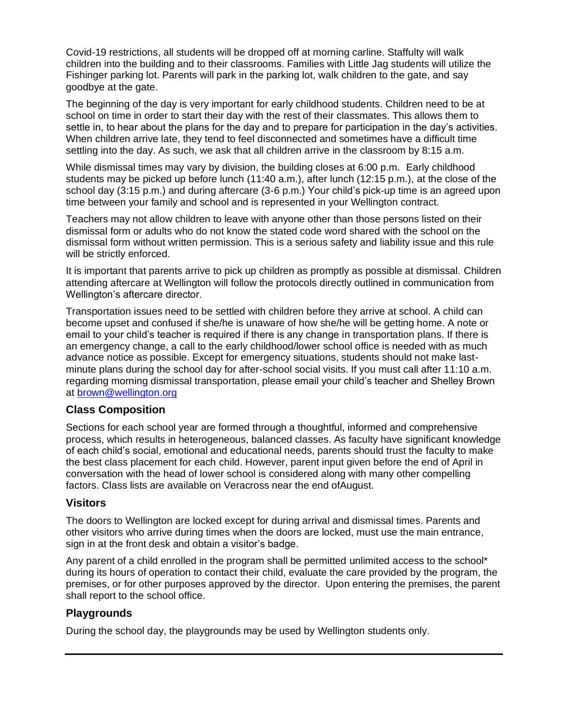Covid-19 restrictions, all students will be dropped off at morning carline. Staffulty will walk children into the building and to their classrooms. Families with Little Jag students will utilize the Fishinger parking lot. Parents will park in the parking lot, walk children to the gate, and say goodbye at the gate.

The beginning of the day is very important for early childhood students. Children need to be at school on time in order to start their day with the rest of their classmates. This allows them to settle in, to hear about the plans for the day and to prepare for participation in the day's activities. When children arrive late, they tend to feel disconnected and sometimes have a difficult time settling into the day. As such, we ask that all children arrive in the classroom by 8:15 a.m.

While dismissal times may vary by division, the building closes at 6:00 p.m. Early childhood students may be picked up before lunch (11:40 a.m.), after lunch (12:15 p.m.), at the close of the school day (3:15 p.m.) and during aftercare (3-6 p.m.) Your child's pick-up time is an agreed upon time between your family and school and is represented in your Wellington contract.

Teachers may not allow children to leave with anyone other than those persons listed on their dismissal form or adults who do not know the stated code word shared with the school on the dismissal form without written permission. This is a serious safety and liability issue and this rule will be strictly enforced.

It is important that parents arrive to pick up children as promptly as possible at dismissal. Children attending aftercare at Wellington will follow the protocols directly outlined in communication from Wellington's aftercare director.

Transportation issues need to be settled with children before they arrive at school. A child can become upset and confused if she/he is unaware of how she/he will be getting home. A note or email to your child's teacher is required if there is any change in transportation plans. If there is an emergency change, a call to the early childhood/lower school office is needed with as much advance notice as possible. Except for emergency situations, students should not make lastminute plans during the school day for after-school social visits. If you must call after 11:10 a.m. regarding morning dismissal transportation, please email your child's teacher and Shelley Brown at [brown@wellington.org](mailto:brown@wellington.org)

# **Class Composition**

Sections for each school year are formed through a thoughtful, informed and comprehensive process, which results in heterogeneous, balanced classes. As faculty have significant knowledge of each child's social, emotional and educational needs, parents should trust the faculty to make the best class placement for each child. However, parent input given before the end of April in conversation with the head of lower school is considered along with many other compelling factors. Class lists are available on Veracross near the end ofAugust.

# **Visitors**

The doors to Wellington are locked except for during arrival and dismissal times. Parents and other visitors who arrive during times when the doors are locked, must use the main entrance, sign in at the front desk and obtain a visitor's badge.

Any parent of a child enrolled in the program shall be permitted unlimited access to the school\* during its hours of operation to contact their child, evaluate the care provided by the program, the premises, or for other purposes approved by the director. Upon entering the premises, the parent shall report to the school office.

# **Playgrounds**

During the school day, the playgrounds may be used by Wellington students only.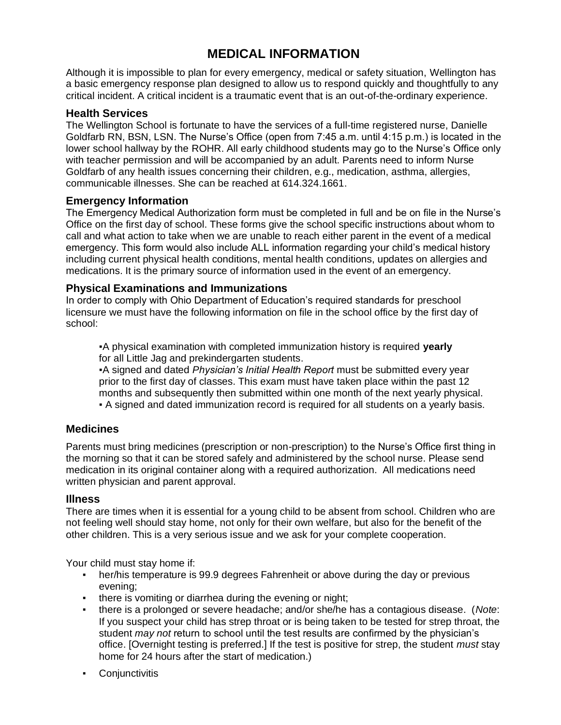# **MEDICAL INFORMATION**

Although it is impossible to plan for every emergency, medical or safety situation, Wellington has a basic emergency response plan designed to allow us to respond quickly and thoughtfully to any critical incident. A critical incident is a traumatic event that is an out-of-the-ordinary experience.

# **Health Services**

The Wellington School is fortunate to have the services of a full-time registered nurse, Danielle Goldfarb RN, BSN, LSN. The Nurse's Office (open from 7:45 a.m. until 4:15 p.m.) is located in the lower school hallway by the ROHR. All early childhood students may go to the Nurse's Office only with teacher permission and will be accompanied by an adult. Parents need to inform Nurse Goldfarb of any health issues concerning their children, e.g., medication, asthma, allergies, communicable illnesses. She can be reached at 614.324.1661.

# **Emergency Information**

The Emergency Medical Authorization form must be completed in full and be on file in the Nurse's Office on the first day of school. These forms give the school specific instructions about whom to call and what action to take when we are unable to reach either parent in the event of a medical emergency. This form would also include ALL information regarding your child's medical history including current physical health conditions, mental health conditions, updates on allergies and medications. It is the primary source of information used in the event of an emergency.

# **Physical Examinations and Immunizations**

In order to comply with Ohio Department of Education's required standards for preschool licensure we must have the following information on file in the school office by the first day of school:

▪A physical examination with completed immunization history is required **yearly**  for all Little Jag and prekindergarten students.

▪A signed and dated *Physician's Initial Health Report* must be submitted every year prior to the first day of classes. This exam must have taken place within the past 12 months and subsequently then submitted within one month of the next yearly physical.

▪ A signed and dated immunization record is required for all students on a yearly basis.

# **Medicines**

Parents must bring medicines (prescription or non-prescription) to the Nurse's Office first thing in the morning so that it can be stored safely and administered by the school nurse. Please send medication in its original container along with a required authorization. All medications need written physician and parent approval.

# **Illness**

There are times when it is essential for a young child to be absent from school. Children who are not feeling well should stay home, not only for their own welfare, but also for the benefit of the other children. This is a very serious issue and we ask for your complete cooperation.

Your child must stay home if:

- **•** her/his temperature is 99.9 degrees Fahrenheit or above during the day or previous evening;
- . there is vomiting or diarrhea during the evening or night;
- there is a prolonged or severe headache; and/or she/he has a contagious disease. (*Note*: If you suspect your child has strep throat or is being taken to be tested for strep throat, the student *may not* return to school until the test results are confirmed by the physician's office. [Overnight testing is preferred.] If the test is positive for strep, the student *must* stay home for 24 hours after the start of medication.)
- Conjunctivitis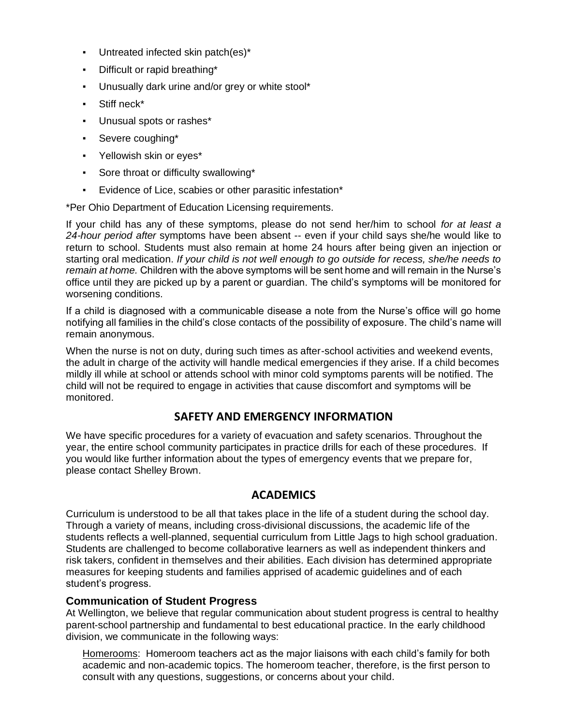- **•** Untreated infected skin patch(es)\*
- Difficult or rapid breathing\*
- Unusually dark urine and/or grey or white stool\*
- Stiff neck\*
- Unusual spots or rashes\*
- Severe coughing\*
- Yellowish skin or eyes\*
- Sore throat or difficulty swallowing\*
- Evidence of Lice, scabies or other parasitic infestation\*

\*Per Ohio Department of Education Licensing requirements.

If your child has any of these symptoms, please do not send her/him to school *for at least a 24-hour period after* symptoms have been absent -- even if your child says she/he would like to return to school. Students must also remain at home 24 hours after being given an injection or starting oral medication. *If your child is not well enough to go outside for recess, she/he needs to remain at home.* Children with the above symptoms will be sent home and will remain in the Nurse's office until they are picked up by a parent or guardian. The child's symptoms will be monitored for worsening conditions.

If a child is diagnosed with a communicable disease a note from the Nurse's office will go home notifying all families in the child's close contacts of the possibility of exposure. The child's name will remain anonymous.

When the nurse is not on duty, during such times as after-school activities and weekend events, the adult in charge of the activity will handle medical emergencies if they arise. If a child becomes mildly ill while at school or attends school with minor cold symptoms parents will be notified. The child will not be required to engage in activities that cause discomfort and symptoms will be monitored.

# **SAFETY AND EMERGENCY INFORMATION**

We have specific procedures for a variety of evacuation and safety scenarios. Throughout the year, the entire school community participates in practice drills for each of these procedures. If you would like further information about the types of emergency events that we prepare for, please contact Shelley Brown.

# **ACADEMICS**

Curriculum is understood to be all that takes place in the life of a student during the school day. Through a variety of means, including cross-divisional discussions, the academic life of the students reflects a well-planned, sequential curriculum from Little Jags to high school graduation. Students are challenged to become collaborative learners as well as independent thinkers and risk takers, confident in themselves and their abilities. Each division has determined appropriate measures for keeping students and families apprised of academic guidelines and of each student's progress.

# **Communication of Student Progress**

At Wellington, we believe that regular communication about student progress is central to healthy parent-school partnership and fundamental to best educational practice. In the early childhood division, we communicate in the following ways:

Homerooms: Homeroom teachers act as the major liaisons with each child's family for both academic and non-academic topics. The homeroom teacher, therefore, is the first person to consult with any questions, suggestions, or concerns about your child.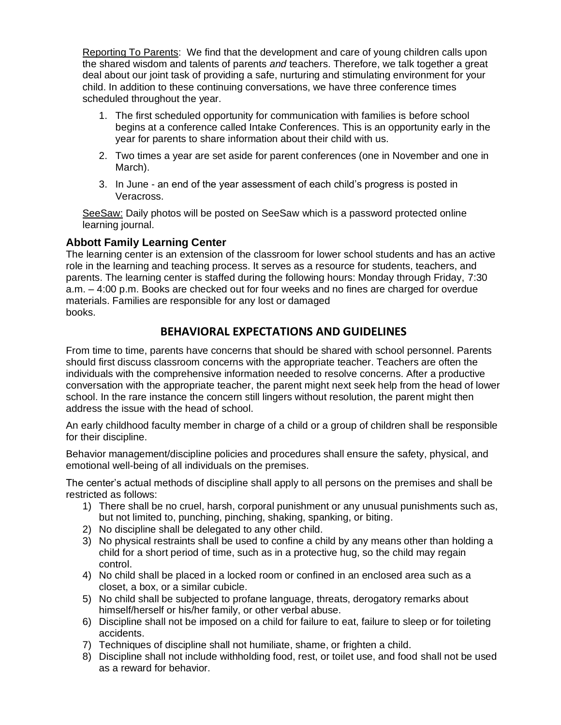Reporting To Parents: We find that the development and care of young children calls upon the shared wisdom and talents of parents *and* teachers. Therefore, we talk together a great deal about our joint task of providing a safe, nurturing and stimulating environment for your child. In addition to these continuing conversations, we have three conference times scheduled throughout the year.

- 1. The first scheduled opportunity for communication with families is before school begins at a conference called Intake Conferences. This is an opportunity early in the year for parents to share information about their child with us.
- 2. Two times a year are set aside for parent conferences (one in November and one in March).
- 3. In June an end of the year assessment of each child's progress is posted in Veracross.

SeeSaw: Daily photos will be posted on SeeSaw which is a password protected online learning journal.

# **Abbott Family Learning Center**

The learning center is an extension of the classroom for lower school students and has an active role in the learning and teaching process. It serves as a resource for students, teachers, and parents. The learning center is staffed during the following hours: Monday through Friday, 7:30 a.m. – 4:00 p.m. Books are checked out for four weeks and no fines are charged for overdue materials. Families are responsible for any lost or damaged books.

# **BEHAVIORAL EXPECTATIONS AND GUIDELINES**

From time to time, parents have concerns that should be shared with school personnel. Parents should first discuss classroom concerns with the appropriate teacher. Teachers are often the individuals with the comprehensive information needed to resolve concerns. After a productive conversation with the appropriate teacher, the parent might next seek help from the head of lower school. In the rare instance the concern still lingers without resolution, the parent might then address the issue with the head of school.

An early childhood faculty member in charge of a child or a group of children shall be responsible for their discipline.

Behavior management/discipline policies and procedures shall ensure the safety, physical, and emotional well-being of all individuals on the premises.

The center's actual methods of discipline shall apply to all persons on the premises and shall be restricted as follows:

- 1) There shall be no cruel, harsh, corporal punishment or any unusual punishments such as, but not limited to, punching, pinching, shaking, spanking, or biting.
- 2) No discipline shall be delegated to any other child.
- 3) No physical restraints shall be used to confine a child by any means other than holding a child for a short period of time, such as in a protective hug, so the child may regain control.
- 4) No child shall be placed in a locked room or confined in an enclosed area such as a closet, a box, or a similar cubicle.
- 5) No child shall be subjected to profane language, threats, derogatory remarks about himself/herself or his/her family, or other verbal abuse.
- 6) Discipline shall not be imposed on a child for failure to eat, failure to sleep or for toileting accidents.
- 7) Techniques of discipline shall not humiliate, shame, or frighten a child.
- 8) Discipline shall not include withholding food, rest, or toilet use, and food shall not be used as a reward for behavior.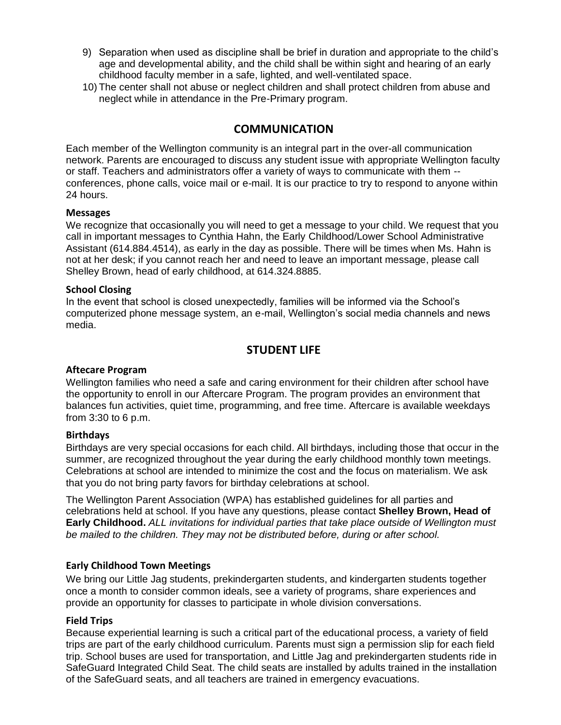- 9) Separation when used as discipline shall be brief in duration and appropriate to the child's age and developmental ability, and the child shall be within sight and hearing of an early childhood faculty member in a safe, lighted, and well-ventilated space.
- 10) The center shall not abuse or neglect children and shall protect children from abuse and neglect while in attendance in the Pre-Primary program.

# **COMMUNICATION**

Each member of the Wellington community is an integral part in the over-all communication network. Parents are encouraged to discuss any student issue with appropriate Wellington faculty or staff. Teachers and administrators offer a variety of ways to communicate with them - conferences, phone calls, voice mail or e-mail. It is our practice to try to respond to anyone within 24 hours.

### **Messages**

We recognize that occasionally you will need to get a message to your child. We request that you call in important messages to Cynthia Hahn, the Early Childhood/Lower School Administrative Assistant (614.884.4514), as early in the day as possible. There will be times when Ms. Hahn is not at her desk; if you cannot reach her and need to leave an important message, please call Shelley Brown, head of early childhood, at 614.324.8885.

### **School Closing**

In the event that school is closed unexpectedly, families will be informed via the School's computerized phone message system, an e-mail, Wellington's social media channels and news media.

# **STUDENT LIFE**

### **Aftecare Program**

Wellington families who need a safe and caring environment for their children after school have the opportunity to enroll in our Aftercare Program. The program provides an environment that balances fun activities, quiet time, programming, and free time. Aftercare is available weekdays from 3:30 to 6 p.m.

### **Birthdays**

Birthdays are very special occasions for each child. All birthdays, including those that occur in the summer, are recognized throughout the year during the early childhood monthly town meetings. Celebrations at school are intended to minimize the cost and the focus on materialism. We ask that you do not bring party favors for birthday celebrations at school.

The Wellington Parent Association (WPA) has established guidelines for all parties and celebrations held at school. If you have any questions, please contact **Shelley Brown, Head of Early Childhood.** *ALL invitations for individual parties that take place outside of Wellington must be mailed to the children. They may not be distributed before, during or after school.*

## **Early Childhood Town Meetings**

We bring our Little Jag students, prekindergarten students, and kindergarten students together once a month to consider common ideals, see a variety of programs, share experiences and provide an opportunity for classes to participate in whole division conversations.

### **Field Trips**

Because experiential learning is such a critical part of the educational process, a variety of field trips are part of the early childhood curriculum. Parents must sign a permission slip for each field trip. School buses are used for transportation, and Little Jag and prekindergarten students ride in SafeGuard Integrated Child Seat. The child seats are installed by adults trained in the installation of the SafeGuard seats, and all teachers are trained in emergency evacuations.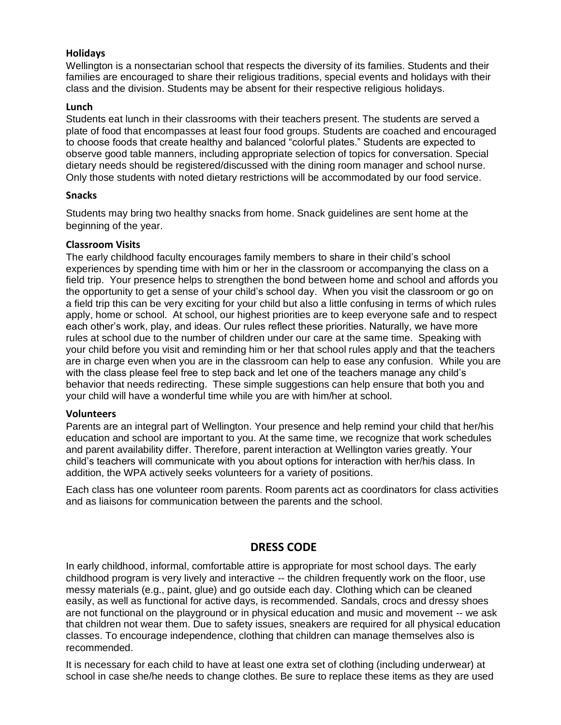# **Holidays**

Wellington is a nonsectarian school that respects the diversity of its families. Students and their families are encouraged to share their religious traditions, special events and holidays with their class and the division. Students may be absent for their respective religious holidays.

### **Lunch**

Students eat lunch in their classrooms with their teachers present. The students are served a plate of food that encompasses at least four food groups. Students are coached and encouraged to choose foods that create healthy and balanced "colorful plates." Students are expected to observe good table manners, including appropriate selection of topics for conversation. Special dietary needs should be registered/discussed with the dining room manager and school nurse. Only those students with noted dietary restrictions will be accommodated by our food service.

### **Snacks**

Students may bring two healthy snacks from home. Snack guidelines are sent home at the beginning of the year.

### **Classroom Visits**

The early childhood faculty encourages family members to share in their child's school experiences by spending time with him or her in the classroom or accompanying the class on a field trip. Your presence helps to strengthen the bond between home and school and affords you the opportunity to get a sense of your child's school day. When you visit the classroom or go on a field trip this can be very exciting for your child but also a little confusing in terms of which rules apply, home or school. At school, our highest priorities are to keep everyone safe and to respect each other's work, play, and ideas. Our rules reflect these priorities. Naturally, we have more rules at school due to the number of children under our care at the same time. Speaking with your child before you visit and reminding him or her that school rules apply and that the teachers are in charge even when you are in the classroom can help to ease any confusion. While you are with the class please feel free to step back and let one of the teachers manage any child's behavior that needs redirecting. These simple suggestions can help ensure that both you and your child will have a wonderful time while you are with him/her at school.

### **Volunteers**

Parents are an integral part of Wellington. Your presence and help remind your child that her/his education and school are important to you. At the same time, we recognize that work schedules and parent availability differ. Therefore, parent interaction at Wellington varies greatly. Your child's teachers will communicate with you about options for interaction with her/his class. In addition, the WPA actively seeks volunteers for a variety of positions.

Each class has one volunteer room parents. Room parents act as coordinators for class activities and as liaisons for communication between the parents and the school.

# **DRESS CODE**

In early childhood, informal, comfortable attire is appropriate for most school days. The early childhood program is very lively and interactive -- the children frequently work on the floor, use messy materials (e.g., paint, glue) and go outside each day. Clothing which can be cleaned easily, as well as functional for active days, is recommended. Sandals, crocs and dressy shoes are not functional on the playground or in physical education and music and movement -- we ask that children not wear them. Due to safety issues, sneakers are required for all physical education classes. To encourage independence, clothing that children can manage themselves also is recommended.

It is necessary for each child to have at least one extra set of clothing (including underwear) at school in case she/he needs to change clothes. Be sure to replace these items as they are used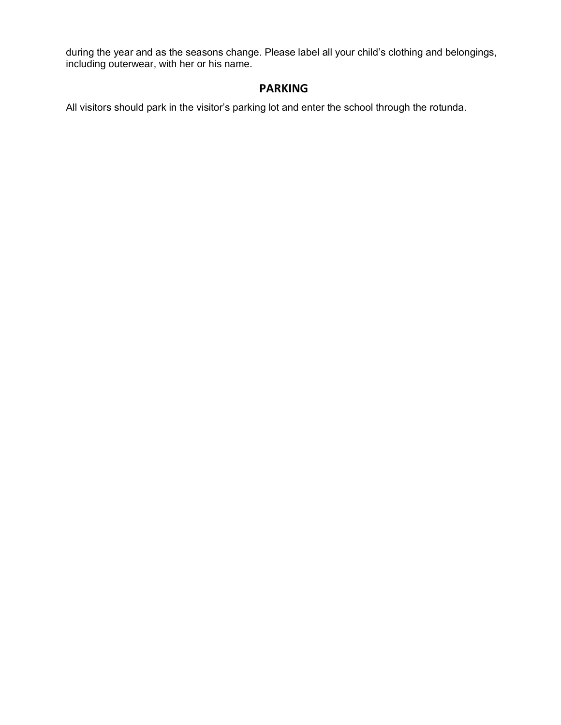during the year and as the seasons change. Please label all your child's clothing and belongings, including outerwear, with her or his name.

# **PARKING**

All visitors should park in the visitor's parking lot and enter the school through the rotunda.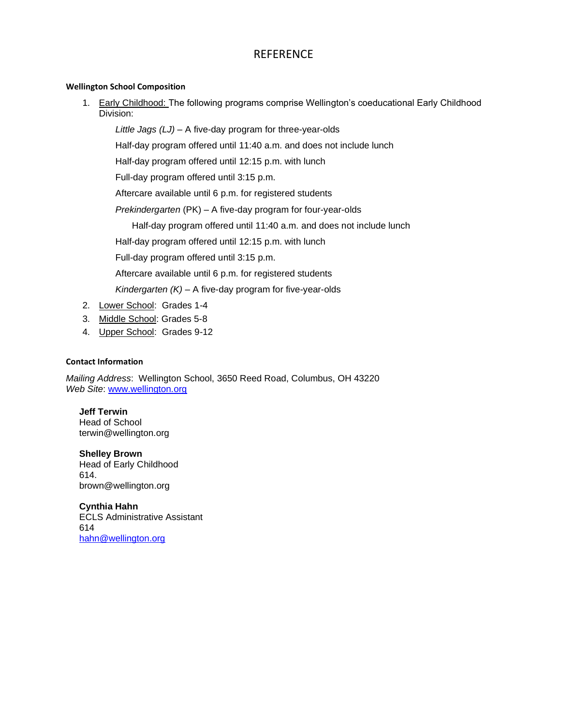# **REFERENCE**

### **Wellington School Composition**

1. Early Childhood: The following programs comprise Wellington's coeducational Early Childhood Division:

*Little Jags (LJ) –* A five-day program for three-year-olds

Half-day program offered until 11:40 a.m. and does not include lunch

Half-day program offered until 12:15 p.m. with lunch

Full-day program offered until 3:15 p.m.

Aftercare available until 6 p.m. for registered students

*Prekindergarten* (PK) – A five-day program for four-year-olds

Half-day program offered until 11:40 a.m. and does not include lunch

Half-day program offered until 12:15 p.m. with lunch

Full-day program offered until 3:15 p.m.

Aftercare available until 6 p.m. for registered students

*Kindergarten (K) –* A five-day program for five-year-olds

- 2. Lower School: Grades 1-4
- 3. Middle School: Grades 5-8
- 4. Upper School: Grades 9-12

### **Contact Information**

*Mailing Address*: Wellington School, 3650 Reed Road, Columbus, OH 43220 *Web Site*: www.wellington.org

# **Jeff Terwin**

Head of School terwin@wellington.org

### **Shelley Brown**

Head of Early Childhood 614. brown@wellington.org

**Cynthia Hahn** ECLS Administrative Assistant 614 [hahn@wellington.org](mailto:hahn@wellington.org)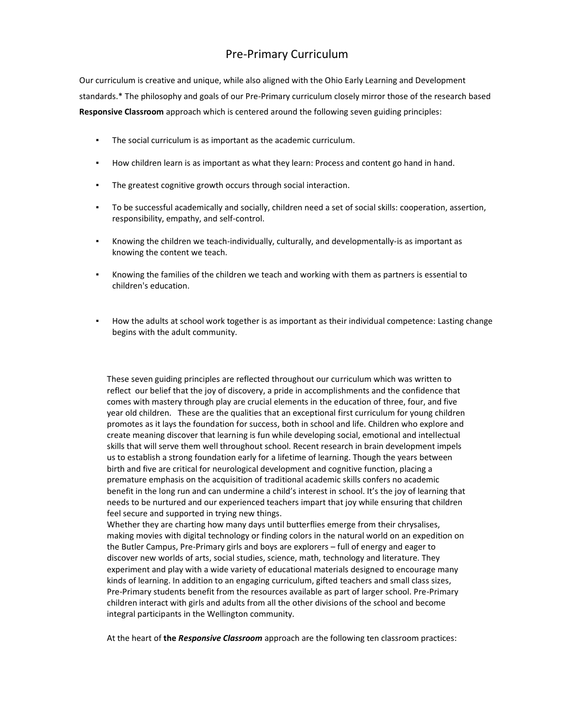# Pre-Primary Curriculum

Our curriculum is creative and unique, while also aligned with the Ohio Early Learning and Development standards.\* The philosophy and goals of our Pre-Primary curriculum closely mirror those of the research based **Responsive Classroom** approach which is centered around the following seven guiding principles:

- The social curriculum is as important as the academic curriculum.
- How children learn is as important as what they learn: Process and content go hand in hand.
- The greatest cognitive growth occurs through social interaction.
- To be successful academically and socially, children need a set of social skills: cooperation, assertion, responsibility, empathy, and self-control.
- Knowing the children we teach-individually, culturally, and developmentally-is as important as knowing the content we teach.
- Knowing the families of the children we teach and working with them as partners is essential to children's education.
- How the adults at school work together is as important as their individual competence: Lasting change begins with the adult community.

These seven guiding principles are reflected throughout our curriculum which was written to reflect our belief that the joy of discovery, a pride in accomplishments and the confidence that comes with mastery through play are crucial elements in the education of three, four, and five year old children. These are the qualities that an exceptional first curriculum for young children promotes as it lays the foundation for success, both in school and life. Children who explore and create meaning discover that learning is fun while developing social, emotional and intellectual skills that will serve them well throughout school. Recent research in brain development impels us to establish a strong foundation early for a lifetime of learning. Though the years between birth and five are critical for neurological development and cognitive function, placing a premature emphasis on the acquisition of traditional academic skills confers no academic benefit in the long run and can undermine a child's interest in school. It's the joy of learning that needs to be nurtured and our experienced teachers impart that joy while ensuring that children feel secure and supported in trying new things.

Whether they are charting how many days until butterflies emerge from their chrysalises, making movies with digital technology or finding colors in the natural world on an expedition on the Butler Campus, Pre-Primary girls and boys are explorers – full of energy and eager to discover new worlds of arts, social studies, science, math, technology and literature. They experiment and play with a wide variety of educational materials designed to encourage many kinds of learning. In addition to an engaging curriculum, gifted teachers and small class sizes, Pre-Primary students benefit from the resources available as part of larger school. Pre-Primary children interact with girls and adults from all the other divisions of the school and become integral participants in the Wellington community.

At the heart of **the** *Responsive Classroom* approach are the following ten classroom practices: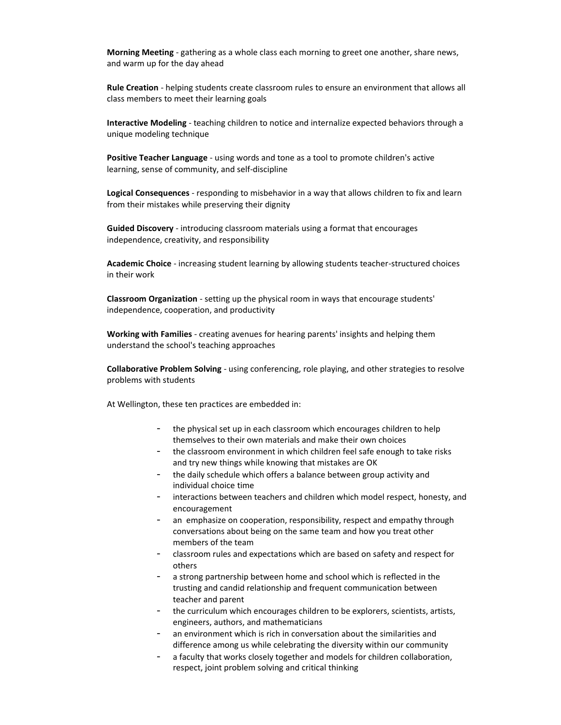**Morning Meeting** - gathering as a whole class each morning to greet one another, share news, and warm up for the day ahead

**Rule Creation** - helping students create classroom rules to ensure an environment that allows all class members to meet their learning goals

**Interactive Modeling** - teaching children to notice and internalize expected behaviors through a unique modeling technique

**Positive Teacher Language** - using words and tone as a tool to promote children's active learning, sense of community, and self-discipline

**Logical Consequences** - responding to misbehavior in a way that allows children to fix and learn from their mistakes while preserving their dignity

**Guided Discovery** - introducing classroom materials using a format that encourages independence, creativity, and responsibility

**Academic Choice** - increasing student learning by allowing students teacher-structured choices in their work

**Classroom Organization** - setting up the physical room in ways that encourage students' independence, cooperation, and productivity

**Working with Families** - creating avenues for hearing parents' insights and helping them understand the school's teaching approaches

**Collaborative Problem Solving** - using conferencing, role playing, and other strategies to resolve problems with students

At Wellington, these ten practices are embedded in:

- the physical set up in each classroom which encourages children to help themselves to their own materials and make their own choices
- the classroom environment in which children feel safe enough to take risks and try new things while knowing that mistakes are OK
- the daily schedule which offers a balance between group activity and individual choice time
- interactions between teachers and children which model respect, honesty, and encouragement
- an emphasize on cooperation, responsibility, respect and empathy through conversations about being on the same team and how you treat other members of the team
- classroom rules and expectations which are based on safety and respect for others
- a strong partnership between home and school which is reflected in the trusting and candid relationship and frequent communication between teacher and parent
- the curriculum which encourages children to be explorers, scientists, artists, engineers, authors, and mathematicians
- an environment which is rich in conversation about the similarities and difference among us while celebrating the diversity within our community
- a faculty that works closely together and models for children collaboration, respect, joint problem solving and critical thinking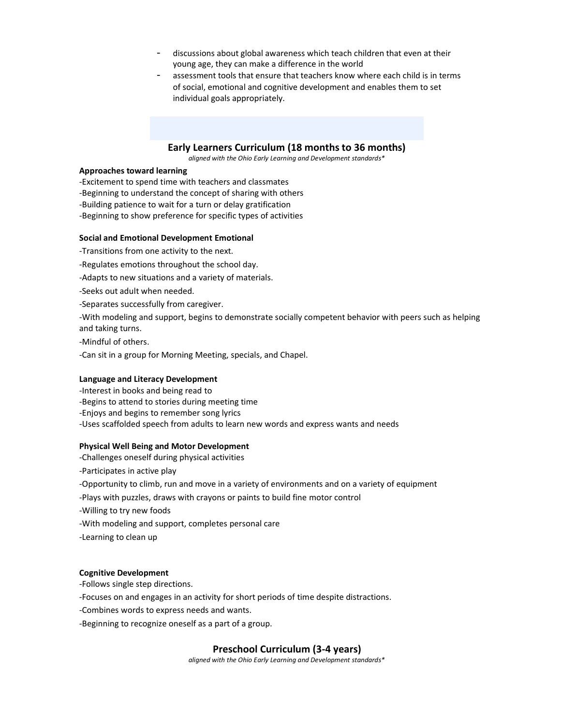- discussions about global awareness which teach children that even at their young age, they can make a difference in the world
- assessment tools that ensure that teachers know where each child is in terms of social, emotional and cognitive development and enables them to set individual goals appropriately.

### **Early Learners Curriculum (18 months to 36 months)**

*aligned with the Ohio Early Learning and Development standards\**

### **Approaches toward learning**

-Excitement to spend time with teachers and classmates

- -Beginning to understand the concept of sharing with others
- -Building patience to wait for a turn or delay gratification
- -Beginning to show preference for specific types of activities

### **Social and Emotional Development Emotional**

- -Transitions from one activity to the next.
- -Regulates emotions throughout the school day.
- -Adapts to new situations and a variety of materials.
- -Seeks out adult when needed.
- -Separates successfully from caregiver.

-With modeling and support, begins to demonstrate socially competent behavior with peers such as helping and taking turns.

- -Mindful of others.
- -Can sit in a group for Morning Meeting, specials, and Chapel.

### **Language and Literacy Development**

- -Interest in books and being read to
- -Begins to attend to stories during meeting time
- -Enjoys and begins to remember song lyrics

-Uses scaffolded speech from adults to learn new words and express wants and needs

### **Physical Well Being and Motor Development**

- -Challenges oneself during physical activities
- -Participates in active play
- -Opportunity to climb, run and move in a variety of environments and on a variety of equipment
- -Plays with puzzles, draws with crayons or paints to build fine motor control
- -Willing to try new foods
- -With modeling and support, completes personal care
- -Learning to clean up

### **Cognitive Development**

-Follows single step directions.

-Focuses on and engages in an activity for short periods of time despite distractions.

-Combines words to express needs and wants.

-Beginning to recognize oneself as a part of a group.

### **Preschool Curriculum (3-4 years)**

*aligned with the Ohio Early Learning and Development standards\**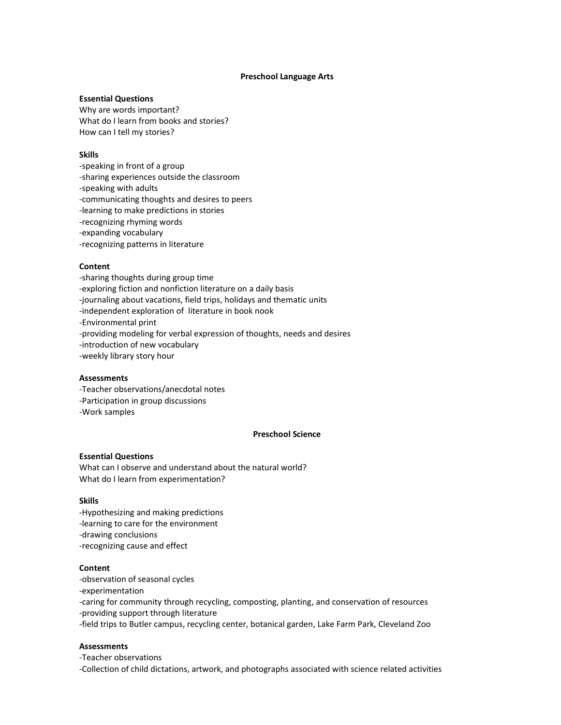### **Preschool Language Arts**

### **Essential Questions**

Why are words important? What do I learn from books and stories? How can I tell my stories?

### **Skills**

- -speaking in front of a group -sharing experiences outside the classroom
- -speaking with adults
- -communicating thoughts and desires to peers
- -learning to make predictions in stories
- -recognizing rhyming words -expanding vocabulary
- -recognizing patterns in literature

### **Content**

-sharing thoughts during group time -exploring fiction and nonfiction literature on a daily basis -journaling about vacations, field trips, holidays and thematic units -independent exploration of literature in book nook -Environmental print -providing modeling for verbal expression of thoughts, needs and desires -introduction of new vocabulary -weekly library story hour

### **Assessments**

- -Teacher observations/anecdotal notes
- -Participation in group discussions
- -Work samples

### **Preschool Science**

### **Essential Questions**

What can I observe and understand about the natural world? What do I learn from experimentation?

### **Skills**

-Hypothesizing and making predictions -learning to care for the environment -drawing conclusions -recognizing cause and effect

### **Content**

-observation of seasonal cycles

-experimentation

-caring for community through recycling, composting, planting, and conservation of resources -providing support through literature

-field trips to Butler campus, recycling center, botanical garden, Lake Farm Park, Cleveland Zoo

### **Assessments**

-Teacher observations

-Collection of child dictations, artwork, and photographs associated with science related activities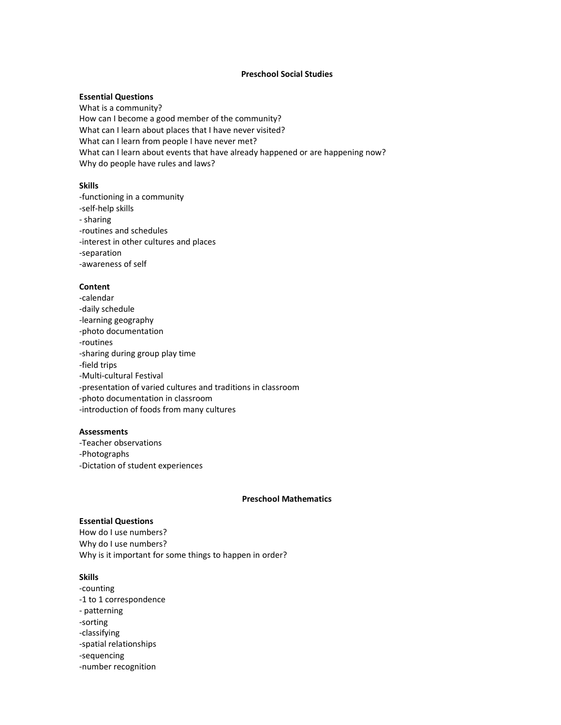### **Preschool Social Studies**

### **Essential Questions**

What is a community? How can I become a good member of the community? What can I learn about places that I have never visited? What can I learn from people I have never met? What can I learn about events that have already happened or are happening now? Why do people have rules and laws?

### **Skills**

-functioning in a community -self-help skills - sharing -routines and schedules -interest in other cultures and places -separation -awareness of self

### **Content**

-calendar -daily schedule -learning geography -photo documentation -routines -sharing during group play time -field trips -Multi-cultural Festival -presentation of varied cultures and traditions in classroom -photo documentation in classroom -introduction of foods from many cultures

### **Assessments**

-Teacher observations -Photographs -Dictation of student experiences

### **Preschool Mathematics**

### **Essential Questions**

How do I use numbers? Why do I use numbers? Why is it important for some things to happen in order?

### **Skills**

-counting -1 to 1 correspondence - patterning -sorting -classifying -spatial relationships -sequencing -number recognition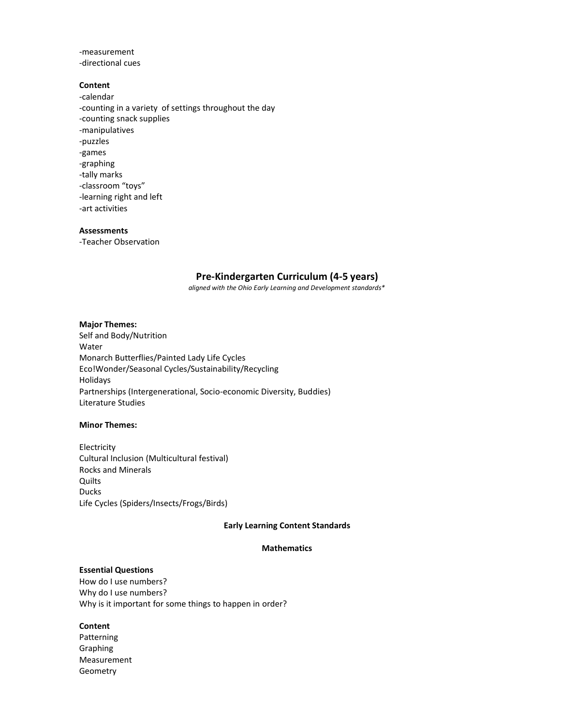-measurement -directional cues

### **Content**

-calendar -counting in a variety of settings throughout the day -counting snack supplies -manipulatives -puzzles -games -graphing -tally marks -classroom "toys" -learning right and left -art activities

### **Assessments**

-Teacher Observation

### **Pre-Kindergarten Curriculum (4-5 years)**

*aligned with the Ohio Early Learning and Development standards\**

### **Major Themes:**

Self and Body/Nutrition Water Monarch Butterflies/Painted Lady Life Cycles Eco!Wonder/Seasonal Cycles/Sustainability/Recycling Holidays Partnerships (Intergenerational, Socio-economic Diversity, Buddies) Literature Studies

### **Minor Themes:**

Electricity Cultural Inclusion (Multicultural festival) Rocks and Minerals Quilts Ducks Life Cycles (Spiders/Insects/Frogs/Birds)

### **Early Learning Content Standards**

### **Mathematics**

### **Essential Questions**

How do I use numbers? Why do I use numbers? Why is it important for some things to happen in order?

### **Content**

Patterning Graphing Measurement Geometry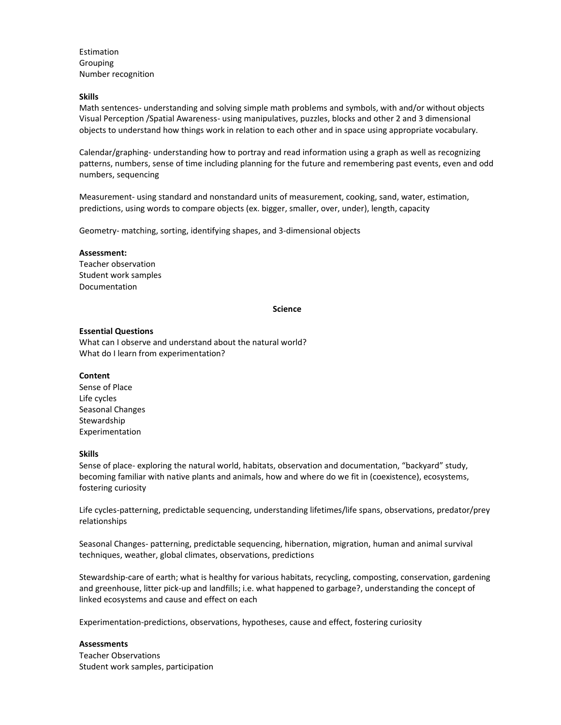Estimation Grouping Number recognition

### **Skills**

Math sentences- understanding and solving simple math problems and symbols, with and/or without objects Visual Perception /Spatial Awareness- using manipulatives, puzzles, blocks and other 2 and 3 dimensional objects to understand how things work in relation to each other and in space using appropriate vocabulary.

Calendar/graphing- understanding how to portray and read information using a graph as well as recognizing patterns, numbers, sense of time including planning for the future and remembering past events, even and odd numbers, sequencing

Measurement- using standard and nonstandard units of measurement, cooking, sand, water, estimation, predictions, using words to compare objects (ex. bigger, smaller, over, under), length, capacity

Geometry- matching, sorting, identifying shapes, and 3-dimensional objects

### **Assessment:**

Teacher observation Student work samples Documentation

### **Science**

### **Essential Questions**

What can I observe and understand about the natural world? What do I learn from experimentation?

### **Content**

Sense of Place Life cycles Seasonal Changes Stewardship Experimentation

### **Skills**

Sense of place- exploring the natural world, habitats, observation and documentation, "backyard" study, becoming familiar with native plants and animals, how and where do we fit in (coexistence), ecosystems, fostering curiosity

Life cycles-patterning, predictable sequencing, understanding lifetimes/life spans, observations, predator/prey relationships

Seasonal Changes- patterning, predictable sequencing, hibernation, migration, human and animal survival techniques, weather, global climates, observations, predictions

Stewardship-care of earth; what is healthy for various habitats, recycling, composting, conservation, gardening and greenhouse, litter pick-up and landfills; i.e. what happened to garbage?, understanding the concept of linked ecosystems and cause and effect on each

Experimentation-predictions, observations, hypotheses, cause and effect, fostering curiosity

### **Assessments**

Teacher Observations Student work samples, participation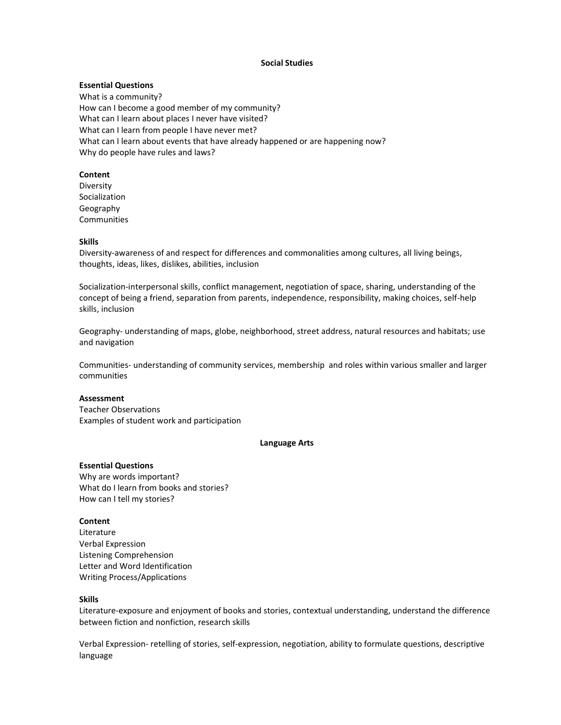### **Social Studies**

### **Essential Questions**

What is a community? How can I become a good member of my community? What can I learn about places I never have visited? What can I learn from people I have never met? What can I learn about events that have already happened or are happening now? Why do people have rules and laws?

### **Content**

Diversity Socialization Geography Communities

### **Skills**

Diversity-awareness of and respect for differences and commonalities among cultures, all living beings, thoughts, ideas, likes, dislikes, abilities, inclusion

Socialization-interpersonal skills, conflict management, negotiation of space, sharing, understanding of the concept of being a friend, separation from parents, independence, responsibility, making choices, self-help skills, inclusion

Geography- understanding of maps, globe, neighborhood, street address, natural resources and habitats; use and navigation

Communities- understanding of community services, membership and roles within various smaller and larger communities

### **Assessment**

Teacher Observations Examples of student work and participation

### **Language Arts**

### **Essential Questions**

Why are words important? What do I learn from books and stories? How can I tell my stories?

### **Content**

Literature Verbal Expression Listening Comprehension Letter and Word Identification Writing Process/Applications

### **Skills**

Literature-exposure and enjoyment of books and stories, contextual understanding, understand the difference between fiction and nonfiction, research skills

Verbal Expression- retelling of stories, self-expression, negotiation, ability to formulate questions, descriptive language